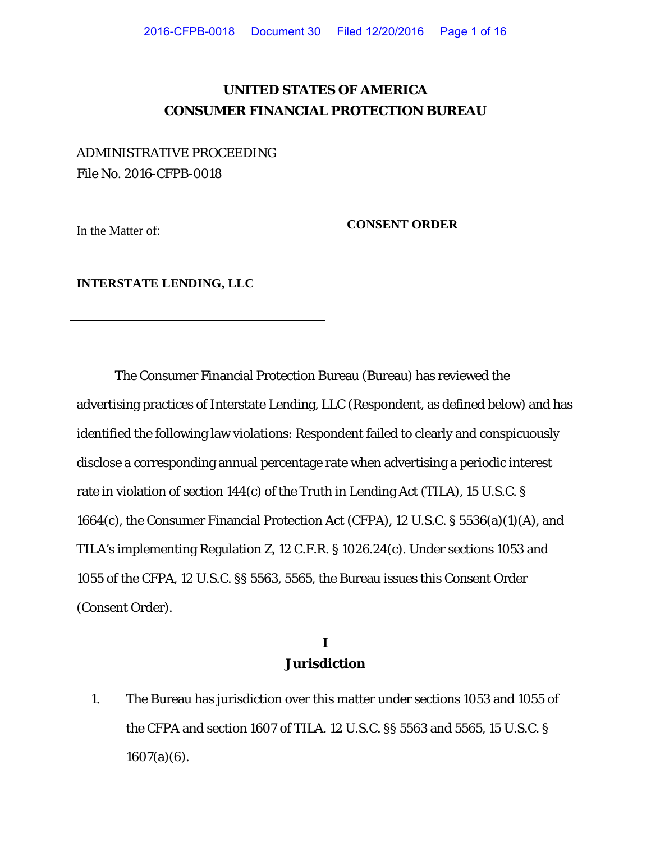## **UNITED STATES OF AMERICA CONSUMER FINANCIAL PROTECTION BUREAU**

# ADMINISTRATIVE PROCEEDING File No. 2016-CFPB-0018

In the Matter of: **CONSENT ORDER** 

**INTERSTATE LENDING, LLC**

The Consumer Financial Protection Bureau (Bureau) has reviewed the advertising practices of Interstate Lending, LLC (Respondent, as defined below) and has identified the following law violations: Respondent failed to clearly and conspicuously disclose a corresponding annual percentage rate when advertising a periodic interest rate in violation of section 144(c) of the Truth in Lending Act (TILA), 15 U.S.C. § 1664(c), the Consumer Financial Protection Act (CFPA), 12 U.S.C. § 5536(a)(1)(A), and TILA's implementing Regulation Z, 12 C.F.R. § 1026.24(c). Under sections 1053 and 1055 of the CFPA, 12 U.S.C. §§ 5563, 5565, the Bureau issues this Consent Order (Consent Order).

### **I Jurisdiction**

1. The Bureau has jurisdiction over this matter under sections 1053 and 1055 of the CFPA and section 1607 of TILA. 12 U.S.C. §§ 5563 and 5565, 15 U.S.C. §  $1607(a)(6)$ .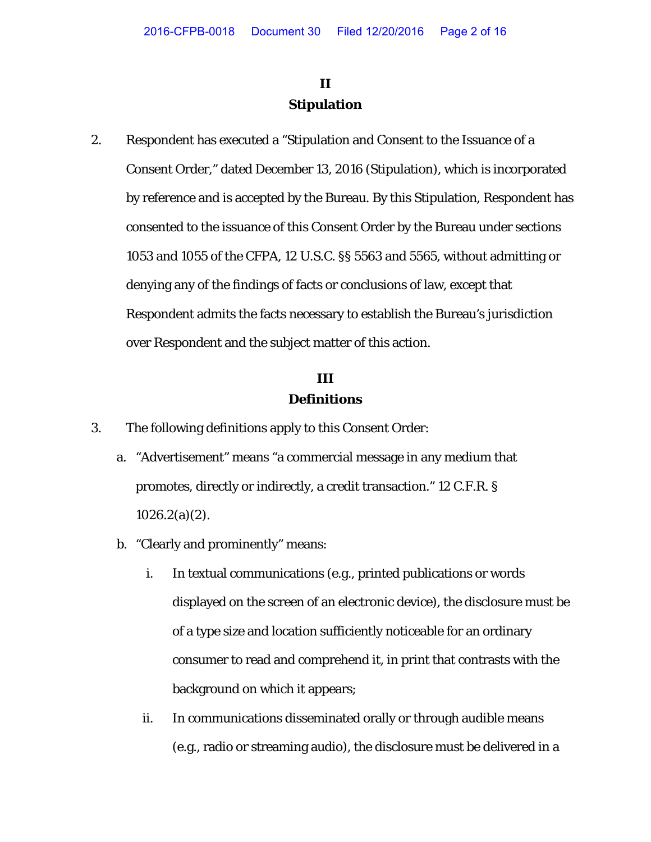# **II Stipulation**

2. Respondent has executed a "Stipulation and Consent to the Issuance of a Consent Order," dated December 13, 2016 (Stipulation), which is incorporated by reference and is accepted by the Bureau. By this Stipulation, Respondent has consented to the issuance of this Consent Order by the Bureau under sections 1053 and 1055 of the CFPA, 12 U.S.C. §§ 5563 and 5565, without admitting or denying any of the findings of facts or conclusions of law, except that Respondent admits the facts necessary to establish the Bureau's jurisdiction over Respondent and the subject matter of this action.

### **III Definitions**

- 3. The following definitions apply to this Consent Order:
	- a. "Advertisement" means "a commercial message in any medium that promotes, directly or indirectly, a credit transaction." 12 C.F.R. §  $1026.2(a)(2)$ .
	- b. "Clearly and prominently" means:
		- i. In textual communications (e.g., printed publications or words displayed on the screen of an electronic device), the disclosure must be of a type size and location sufficiently noticeable for an ordinary consumer to read and comprehend it, in print that contrasts with the background on which it appears;
		- ii. In communications disseminated orally or through audible means (e.g., radio or streaming audio), the disclosure must be delivered in a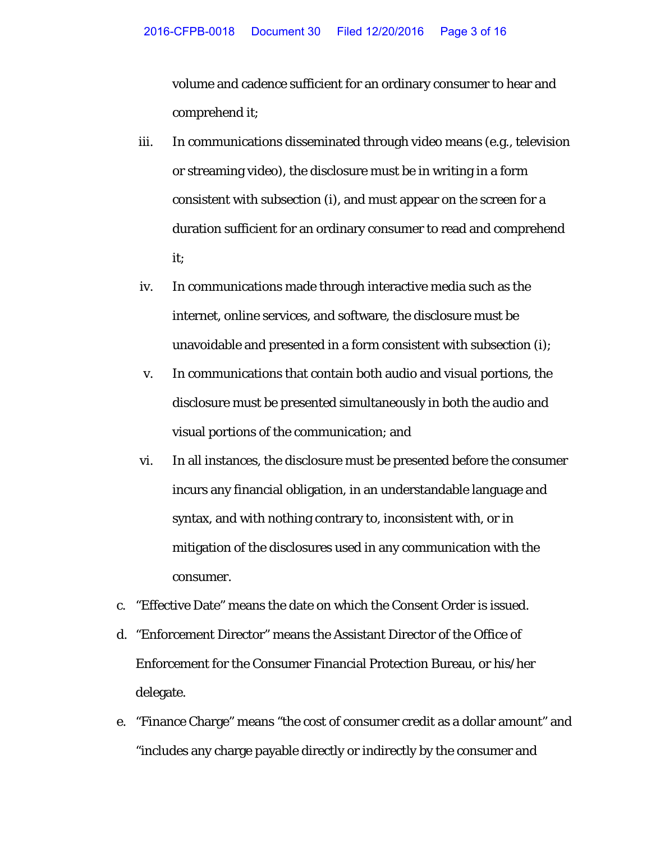volume and cadence sufficient for an ordinary consumer to hear and comprehend it;

- iii. In communications disseminated through video means (e.g., television or streaming video), the disclosure must be in writing in a form consistent with subsection (i), and must appear on the screen for a duration sufficient for an ordinary consumer to read and comprehend it;
- iv. In communications made through interactive media such as the internet, online services, and software, the disclosure must be unavoidable and presented in a form consistent with subsection (i);
- v. In communications that contain both audio and visual portions, the disclosure must be presented simultaneously in both the audio and visual portions of the communication; and
- vi. In all instances, the disclosure must be presented before the consumer incurs any financial obligation, in an understandable language and syntax, and with nothing contrary to, inconsistent with, or in mitigation of the disclosures used in any communication with the consumer.
- c. "Effective Date" means the date on which the Consent Order is issued.
- d. "Enforcement Director" means the Assistant Director of the Office of Enforcement for the Consumer Financial Protection Bureau, or his/her delegate.
- e. "Finance Charge" means "the cost of consumer credit as a dollar amount" and "includes any charge payable directly or indirectly by the consumer and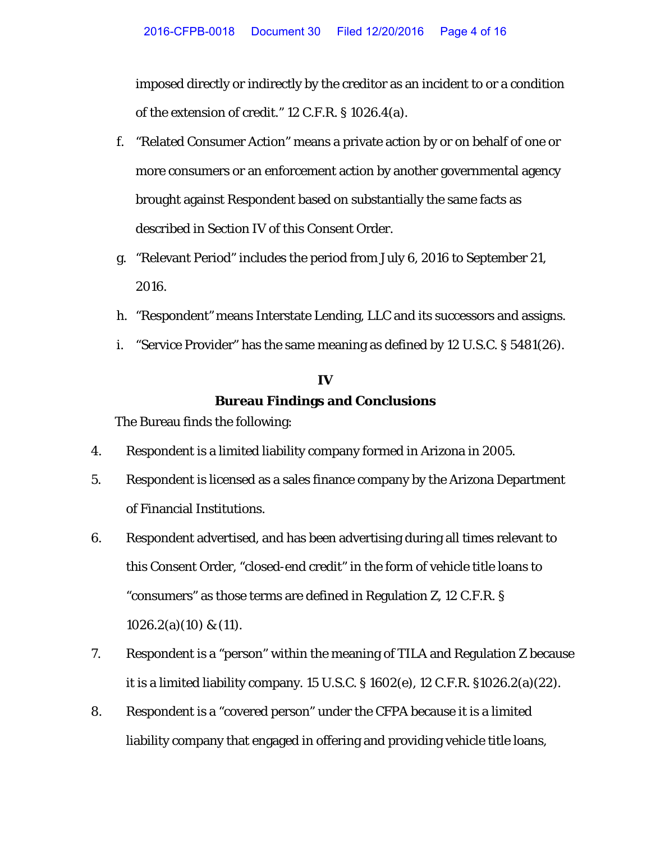imposed directly or indirectly by the creditor as an incident to or a condition of the extension of credit." 12 C.F.R. § 1026.4(a).

- f. "Related Consumer Action" means a private action by or on behalf of one or more consumers or an enforcement action by another governmental agency brought against Respondent based on substantially the same facts as described in Section IV of this Consent Order.
- g. "Relevant Period" includes the period from July 6, 2016 to September 21, 2016.
- h. "Respondent" means Interstate Lending, LLC and its successors and assigns.
- i. "Service Provider" has the same meaning as defined by 12 U.S.C. § 5481(26).

# **IV Bureau Findings and Conclusions**

The Bureau finds the following:

- 4. Respondent is a limited liability company formed in Arizona in 2005.
- 5. Respondent is licensed as a sales finance company by the Arizona Department of Financial Institutions.
- 6. Respondent advertised, and has been advertising during all times relevant to this Consent Order, "closed-end credit" in the form of vehicle title loans to "consumers" as those terms are defined in Regulation Z, 12 C.F.R. § 1026.2(a)(10) & (11).
- 7. Respondent is a "person" within the meaning of TILA and Regulation Z because it is a limited liability company. 15 U.S.C. § 1602(e), 12 C.F.R. §1026.2(a)(22).
- 8. Respondent is a "covered person" under the CFPA because it is a limited liability company that engaged in offering and providing vehicle title loans,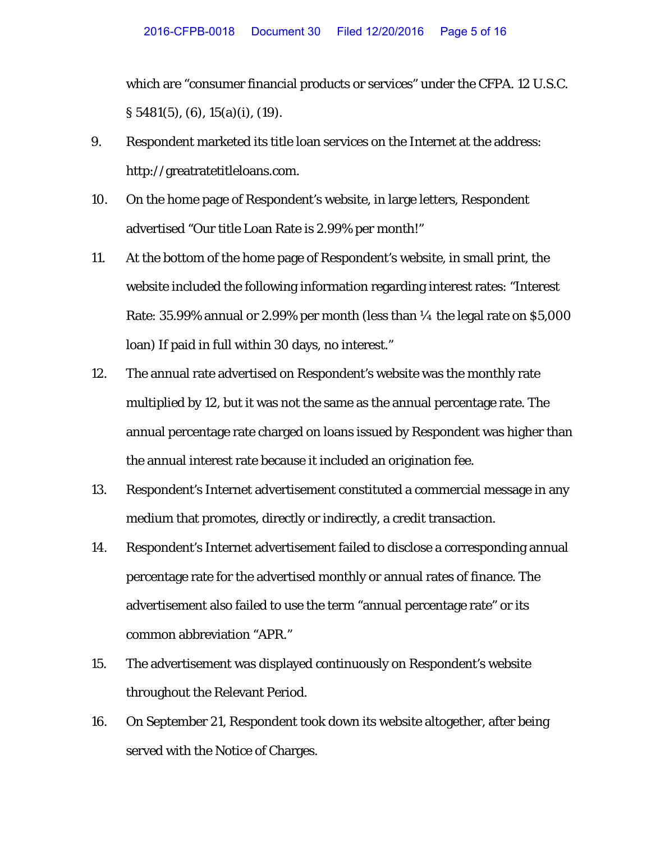which are "consumer financial products or services" under the CFPA. 12 U.S.C. § 5481(5), (6), 15(a)(i), (19).

- 9. Respondent marketed its title loan services on the Internet at the address: http://greatratetitleloans.com.
- 10. On the home page of Respondent's website, in large letters, Respondent advertised "Our title Loan Rate is 2.99% per month!"
- 11. At the bottom of the home page of Respondent's website, in small print, the website included the following information regarding interest rates: "Interest Rate:  $35.99\%$  annual or 2.99% per month (less than  $\frac{1}{4}$  the legal rate on \$5,000 loan) If paid in full within 30 days, no interest."
- 12. The annual rate advertised on Respondent's website was the monthly rate multiplied by 12, but it was not the same as the annual percentage rate. The annual percentage rate charged on loans issued by Respondent was higher than the annual interest rate because it included an origination fee.
- 13. Respondent's Internet advertisement constituted a commercial message in any medium that promotes, directly or indirectly, a credit transaction.
- 14. Respondent's Internet advertisement failed to disclose a corresponding annual percentage rate for the advertised monthly or annual rates of finance. The advertisement also failed to use the term "annual percentage rate" or its common abbreviation "APR."
- 15. The advertisement was displayed continuously on Respondent's website throughout the Relevant Period.
- 16. On September 21, Respondent took down its website altogether, after being served with the Notice of Charges.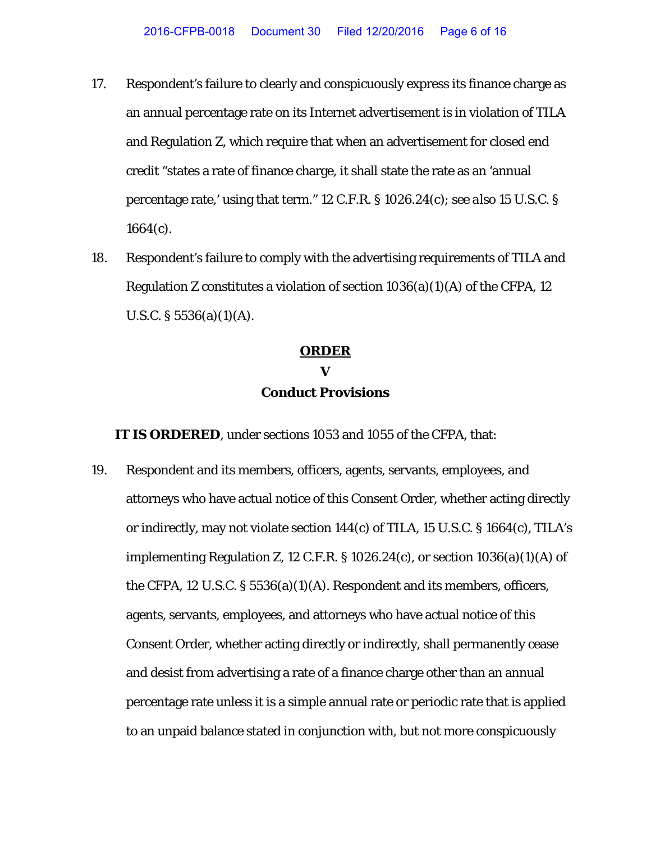- 17. Respondent's failure to clearly and conspicuously express its finance charge as an annual percentage rate on its Internet advertisement is in violation of TILA and Regulation Z, which require that when an advertisement for closed end credit "states a rate of finance charge, it shall state the rate as an 'annual percentage rate,' using that term." 12 C.F.R. § 1026.24(c); *see also* 15 U.S.C. § 1664(c).
- 18. Respondent's failure to comply with the advertising requirements of TILA and Regulation Z constitutes a violation of section  $1036(a)(1)(A)$  of the CFPA, 12 U.S.C.  $\S 5536(a)(1)(A)$ .

#### **ORDER**

### **V Conduct Provisions**

**IT IS ORDERED**, under sections 1053 and 1055 of the CFPA, that:

19. Respondent and its members, officers, agents, servants, employees, and attorneys who have actual notice of this Consent Order*,* whether acting directly or indirectly, may not violate section 144(c) of TILA, 15 U.S.C. § 1664(c), TILA's implementing Regulation Z, 12 C.F.R.  $\S 1026.24(c)$ , or section  $1036(a)(1)(A)$  of the CFPA, 12 U.S.C. § 5536(a)(1)(A). Respondent and its members, officers, agents, servants, employees, and attorneys who have actual notice of this Consent Order, whether acting directly or indirectly, shall permanently cease and desist from advertising a rate of a finance charge other than an annual percentage rate unless it is a simple annual rate or periodic rate that is applied to an unpaid balance stated in conjunction with, but not more conspicuously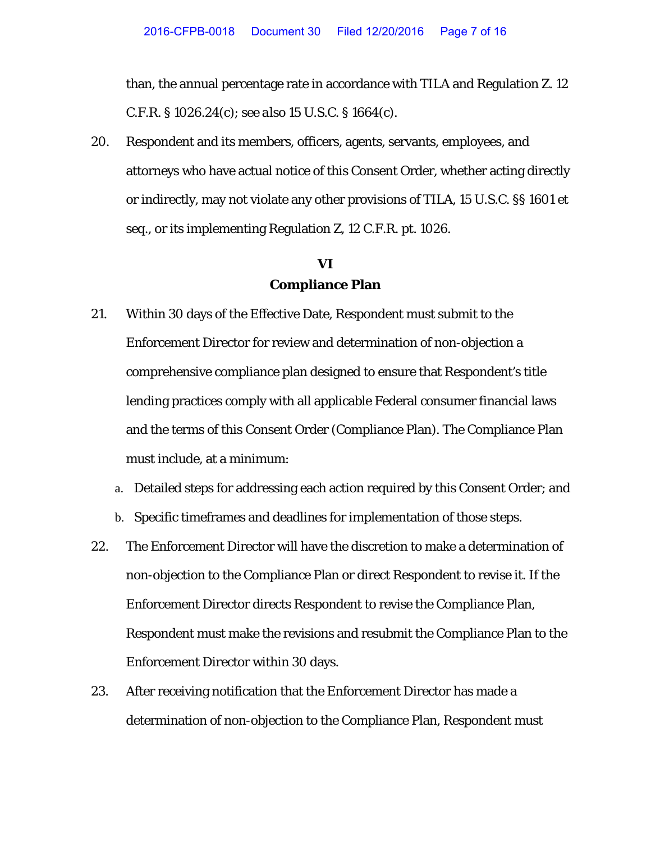than, the annual percentage rate in accordance with TILA and Regulation Z. 12 C.F.R. § 1026.24(c); *see also* 15 U.S.C. § 1664(c).

20. Respondent and its members, officers, agents, servants, employees, and attorneys who have actual notice of this Consent Order*,* whether acting directly or indirectly, may not violate any other provisions of TILA, 15 U.S.C. §§ 1601 *et seq.*, or its implementing Regulation Z, 12 C.F.R. pt. 1026.

### **VI Compliance Plan**

- 21. Within 30 days of the Effective Date, Respondent must submit to the Enforcement Director for review and determination of non-objection a comprehensive compliance plan designed to ensure that Respondent's title lending practices comply with all applicable Federal consumer financial laws and the terms of this Consent Order (Compliance Plan). The Compliance Plan must include, at a minimum:
	- a. Detailed steps for addressing each action required by this Consent Order; and
	- b. Specific timeframes and deadlines for implementation of those steps.
- 22. The Enforcement Director will have the discretion to make a determination of non-objection to the Compliance Plan or direct Respondent to revise it. If the Enforcement Director directs Respondent to revise the Compliance Plan, Respondent must make the revisions and resubmit the Compliance Plan to the Enforcement Director within 30 days.
- 23. After receiving notification that the Enforcement Director has made a determination of non-objection to the Compliance Plan, Respondent must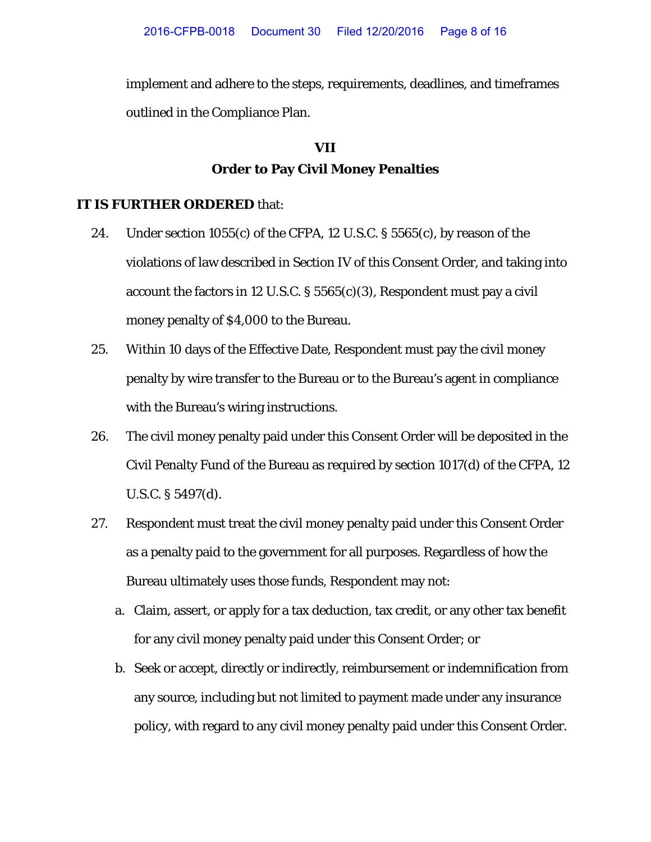implement and adhere to the steps, requirements, deadlines, and timeframes outlined in the Compliance Plan.

# **VII Order to Pay Civil Money Penalties**

#### **IT IS FURTHER ORDERED** that:

- 24. Under section  $1055(c)$  of the CFPA, 12 U.S.C. § 5565 $(c)$ , by reason of the violations of law described in Section IV of this Consent Order, and taking into account the factors in 12 U.S.C.  $\S 5565(c)(3)$ , Respondent must pay a civil money penalty of \$4,000 to the Bureau.
- 25. Within 10 days of the Effective Date, Respondent must pay the civil money penalty by wire transfer to the Bureau or to the Bureau's agent in compliance with the Bureau's wiring instructions.
- 26. The civil money penalty paid under this Consent Order will be deposited in the Civil Penalty Fund of the Bureau as required by section 1017(d) of the CFPA, 12 U.S.C. § 5497(d).
- 27. Respondent must treat the civil money penalty paid under this Consent Order as a penalty paid to the government for all purposes. Regardless of how the Bureau ultimately uses those funds, Respondent may not:
	- a. Claim, assert, or apply for a tax deduction, tax credit, or any other tax benefit for any civil money penalty paid under this Consent Order; or
	- b. Seek or accept, directly or indirectly, reimbursement or indemnification from any source, including but not limited to payment made under any insurance policy, with regard to any civil money penalty paid under this Consent Order.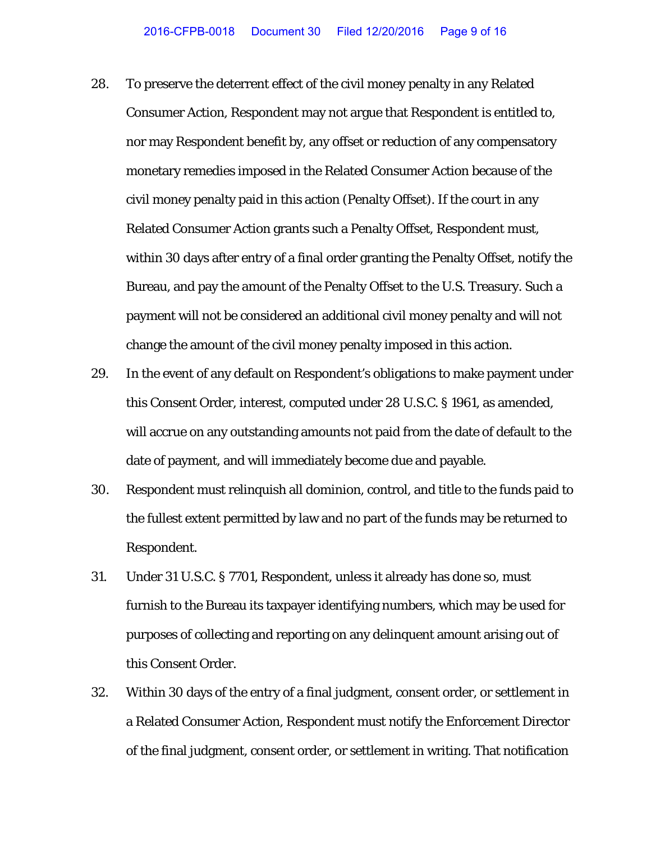- 28. To preserve the deterrent effect of the civil money penalty in any Related Consumer Action, Respondent may not argue that Respondent is entitled to, nor may Respondent benefit by, any offset or reduction of any compensatory monetary remedies imposed in the Related Consumer Action because of the civil money penalty paid in this action (Penalty Offset). If the court in any Related Consumer Action grants such a Penalty Offset, Respondent must, within 30 days after entry of a final order granting the Penalty Offset, notify the Bureau, and pay the amount of the Penalty Offset to the U.S. Treasury. Such a payment will not be considered an additional civil money penalty and will not change the amount of the civil money penalty imposed in this action.
- 29. In the event of any default on Respondent's obligations to make payment under this Consent Order, interest, computed under 28 U.S.C. § 1961, as amended, will accrue on any outstanding amounts not paid from the date of default to the date of payment, and will immediately become due and payable.
- 30. Respondent must relinquish all dominion, control, and title to the funds paid to the fullest extent permitted by law and no part of the funds may be returned to Respondent.
- 31. Under 31 U.S.C. § 7701, Respondent, unless it already has done so, must furnish to the Bureau its taxpayer identifying numbers, which may be used for purposes of collecting and reporting on any delinquent amount arising out of this Consent Order.
- 32. Within 30 days of the entry of a final judgment, consent order, or settlement in a Related Consumer Action, Respondent must notify the Enforcement Director of the final judgment, consent order, or settlement in writing. That notification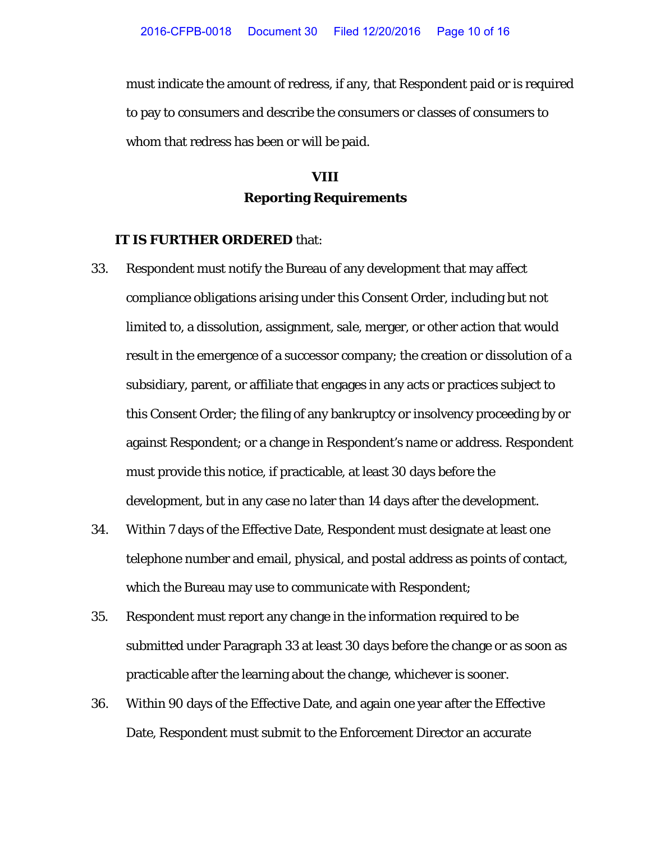must indicate the amount of redress, if any, that Respondent paid or is required to pay to consumers and describe the consumers or classes of consumers to whom that redress has been or will be paid.

# **VIII Reporting Requirements**

#### **IT IS FURTHER ORDERED** that:

- 33. Respondent must notify the Bureau of any development that may affect compliance obligations arising under this Consent Order, including but not limited to, a dissolution, assignment, sale, merger, or other action that would result in the emergence of a successor company; the creation or dissolution of a subsidiary, parent, or affiliate that engages in any acts or practices subject to this Consent Order; the filing of any bankruptcy or insolvency proceeding by or against Respondent; or a change in Respondent's name or address. Respondent must provide this notice, if practicable, at least 30 days before the development, but in any case no later than 14 days after the development.
- 34. Within 7 days of the Effective Date, Respondent must designate at least one telephone number and email, physical, and postal address as points of contact, which the Bureau may use to communicate with Respondent;
- 35. Respondent must report any change in the information required to be submitted under Paragraph 33 at least 30 days before the change or as soon as practicable after the learning about the change, whichever is sooner.
- 36. Within 90 days of the Effective Date, and again one year after the Effective Date, Respondent must submit to the Enforcement Director an accurate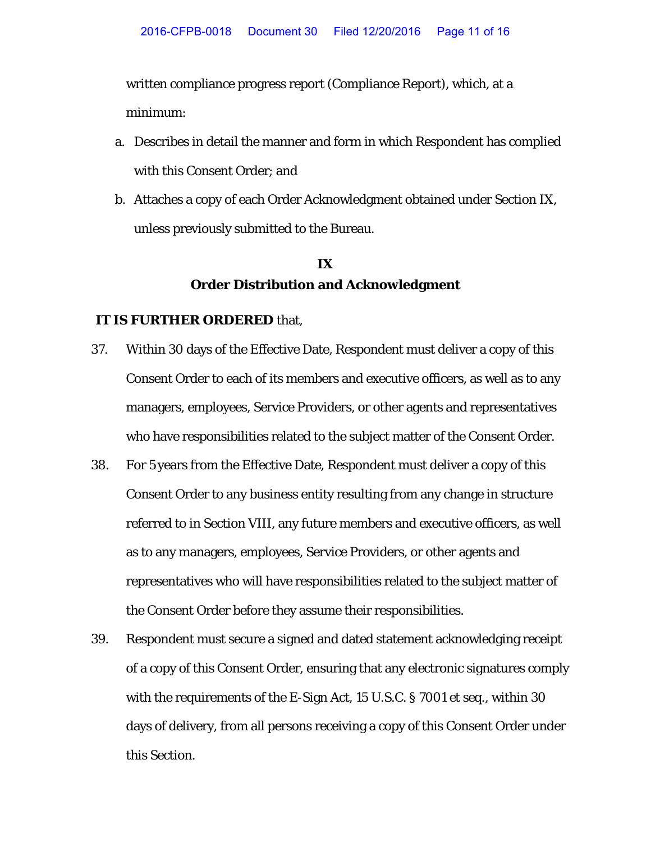written compliance progress report (Compliance Report), which, at a minimum:

- a. Describes in detail the manner and form in which Respondent has complied with this Consent Order; and
- b. Attaches a copy of each Order Acknowledgment obtained under Section IX, unless previously submitted to the Bureau.

## **IX Order Distribution and Acknowledgment**

#### **IT IS FURTHER ORDERED** that,

- 37. Within 30 days of the Effective Date, Respondent must deliver a copy of this Consent Order to each of its members and executive officers, as well as to any managers, employees, Service Providers, or other agents and representatives who have responsibilities related to the subject matter of the Consent Order.
- 38. For 5 years from the Effective Date, Respondent must deliver a copy of this Consent Order to any business entity resulting from any change in structure referred to in Section VIII, any future members and executive officers, as well as to any managers, employees, Service Providers, or other agents and representatives who will have responsibilities related to the subject matter of the Consent Order before they assume their responsibilities.
- 39. Respondent must secure a signed and dated statement acknowledging receipt of a copy of this Consent Order, ensuring that any electronic signatures comply with the requirements of the E-Sign Act, 15 U.S.C. § 7001 *et seq.*, within 30 days of delivery, from all persons receiving a copy of this Consent Order under this Section.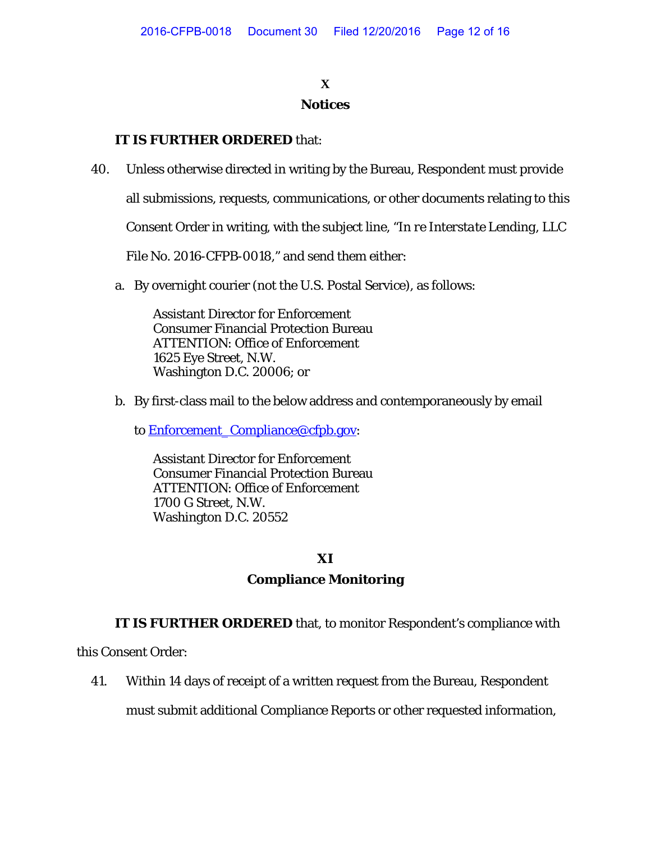### **X Notices**

### **IT IS FURTHER ORDERED** that:

40. Unless otherwise directed in writing by the Bureau, Respondent must provide

all submissions, requests, communications, or other documents relating to this

Consent Order in writing, with the subject line, "*In re Interstate Lending, LLC*

File No. 2016-CFPB-0018," and send them either:

a. By overnight courier (not the U.S. Postal Service), as follows:

Assistant Director for Enforcement Consumer Financial Protection Bureau ATTENTION: Office of Enforcement 1625 Eye Street, N.W. Washington D.C. 20006; or

- b. By first-class mail to the below address and contemporaneously by email
	- to [Enforcement\\_Compliance@cfpb.gov:](mailto:Enforcement_Compliance@cfpb.gov)

Assistant Director for Enforcement Consumer Financial Protection Bureau ATTENTION: Office of Enforcement 1700 G Street, N.W. Washington D.C. 20552

#### **XI**

### **Compliance Monitoring**

**IT IS FURTHER ORDERED** that, to monitor Respondent's compliance with

this Consent Order:

41. Within 14 days of receipt of a written request from the Bureau, Respondent

must submit additional Compliance Reports or other requested information,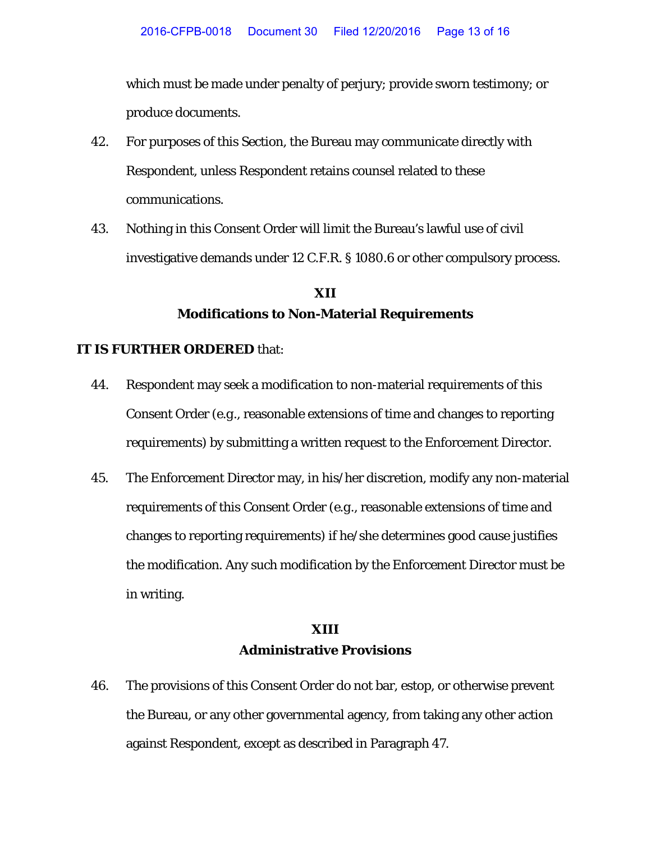which must be made under penalty of perjury; provide sworn testimony; or produce documents.

- 42. For purposes of this Section, the Bureau may communicate directly with Respondent, unless Respondent retains counsel related to these communications.
- 43. Nothing in this Consent Order will limit the Bureau's lawful use of civil investigative demands under 12 C.F.R. § 1080.6 or other compulsory process.

# **XII Modifications to Non-Material Requirements**

#### **IT IS FURTHER ORDERED** that:

- 44. Respondent may seek a modification to non-material requirements of this Consent Order (*e.g*., reasonable extensions of time and changes to reporting requirements) by submitting a written request to the Enforcement Director.
- 45. The Enforcement Director may, in his/her discretion, modify any non-material requirements of this Consent Order (*e.g*., reasonable extensions of time and changes to reporting requirements) if he/she determines good cause justifies the modification. Any such modification by the Enforcement Director must be in writing.

## **XIII Administrative Provisions**

46. The provisions of this Consent Order do not bar, estop, or otherwise prevent the Bureau, or any other governmental agency, from taking any other action against Respondent, except as described in Paragraph 47.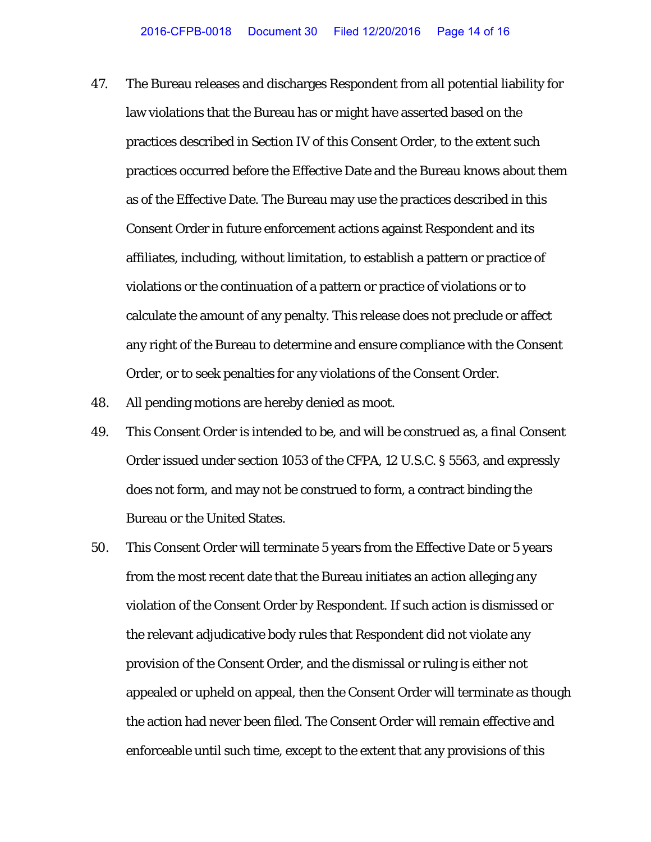- 47. The Bureau releases and discharges Respondent from all potential liability for law violations that the Bureau has or might have asserted based on the practices described in Section IV of this Consent Order, to the extent such practices occurred before the Effective Date and the Bureau knows about them as of the Effective Date. The Bureau may use the practices described in this Consent Order in future enforcement actions against Respondent and its affiliates, including, without limitation, to establish a pattern or practice of violations or the continuation of a pattern or practice of violations or to calculate the amount of any penalty. This release does not preclude or affect any right of the Bureau to determine and ensure compliance with the Consent Order, or to seek penalties for any violations of the Consent Order.
- 48. All pending motions are hereby denied as moot.
- 49. This Consent Order is intended to be, and will be construed as, a final Consent Order issued under section 1053 of the CFPA, 12 U.S.C. § 5563, and expressly does not form, and may not be construed to form, a contract binding the Bureau or the United States.
- 50. This Consent Order will terminate 5 years from the Effective Date or 5 years from the most recent date that the Bureau initiates an action alleging any violation of the Consent Order by Respondent. If such action is dismissed or the relevant adjudicative body rules that Respondent did not violate any provision of the Consent Order, and the dismissal or ruling is either not appealed or upheld on appeal, then the Consent Order will terminate as though the action had never been filed. The Consent Order will remain effective and enforceable until such time, except to the extent that any provisions of this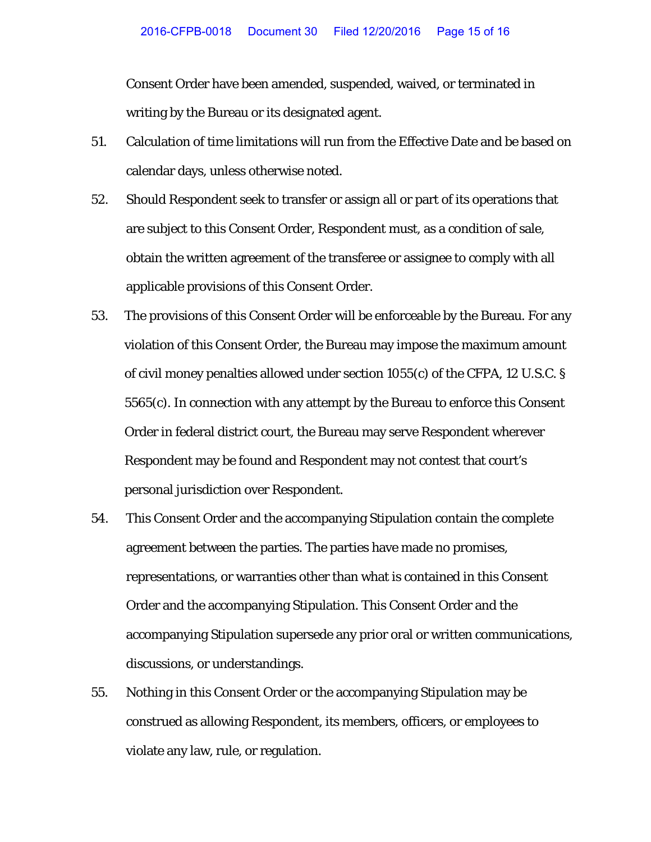Consent Order have been amended, suspended, waived, or terminated in writing by the Bureau or its designated agent.

- 51. Calculation of time limitations will run from the Effective Date and be based on calendar days, unless otherwise noted.
- 52. Should Respondent seek to transfer or assign all or part of its operations that are subject to this Consent Order, Respondent must, as a condition of sale, obtain the written agreement of the transferee or assignee to comply with all applicable provisions of this Consent Order.
- 53. The provisions of this Consent Order will be enforceable by the Bureau. For any violation of this Consent Order, the Bureau may impose the maximum amount of civil money penalties allowed under section 1055(c) of the CFPA, 12 U.S.C. § 5565(c). In connection with any attempt by the Bureau to enforce this Consent Order in federal district court, the Bureau may serve Respondent wherever Respondent may be found and Respondent may not contest that court's personal jurisdiction over Respondent.
- 54. This Consent Order and the accompanying Stipulation contain the complete agreement between the parties. The parties have made no promises, representations, or warranties other than what is contained in this Consent Order and the accompanying Stipulation. This Consent Order and the accompanying Stipulation supersede any prior oral or written communications, discussions, or understandings.
- 55. Nothing in this Consent Order or the accompanying Stipulation may be construed as allowing Respondent, its members, officers, or employees to violate any law, rule, or regulation.